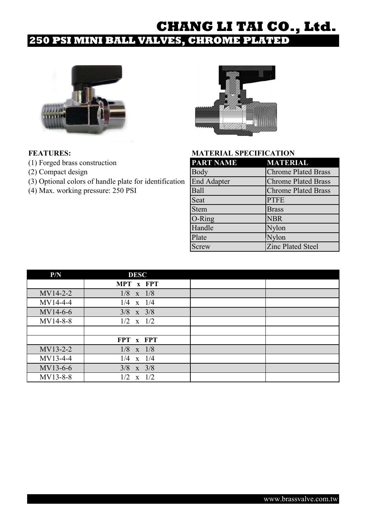## **250 PSI MINI BALL VALVES, CHROME PLATED**



- (1) Forged brass construction
- (2) Compact design
- (3) Optional colors of handle plate for identification
- (4) Max. working pressure:  $250$  PSI



| <b>PART NAME</b>   | <b>MATERIAL</b>            |
|--------------------|----------------------------|
| <b>Body</b>        | <b>Chrome Plated Brass</b> |
| <b>End Adapter</b> | <b>Chrome Plated Brass</b> |
| Ball               | <b>Chrome Plated Brass</b> |
| Seat               | <b>PTFE</b>                |
| Stem               | <b>Brass</b>               |
| $O-Ring$           | <b>NBR</b>                 |
| Handle             | Nylon                      |
| Plate              | Nylon                      |
| <b>Screw</b>       | <b>Zinc Plated Steel</b>   |

| P/N        | <b>DESC</b>   |  |
|------------|---------------|--|
|            | MPT x FPT     |  |
| $MV14-2-2$ | $1/8$ x $1/8$ |  |
| $MV14-4-4$ | $1/4$ x $1/4$ |  |
| MV14-6-6   | $3/8$ x $3/8$ |  |
| MV14-8-8   | $1/2$ x $1/2$ |  |
|            |               |  |
|            | FPT x FPT     |  |
| MV13-2-2   | $1/8$ x $1/8$ |  |
| MV13-4-4   | $1/4$ x $1/4$ |  |
| MV13-6-6   | $3/8$ x $3/8$ |  |
| MV13-8-8   | $1/2$ x $1/2$ |  |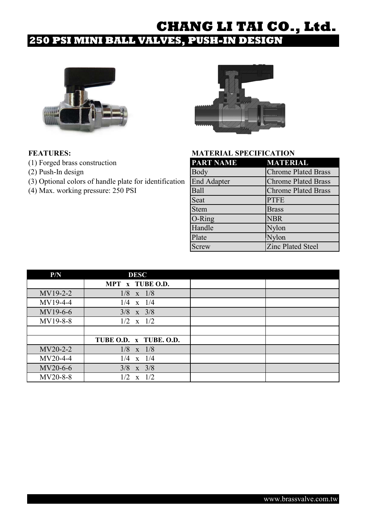## **250 PSI MINI BALL VALVES, PUSH-IN DESIGN**



- (1) Forged brass construction
- $(2)$  Push-In design
- (3) Optional colors of handle plate for identification
- (4) Max. working pressure:  $250$  PSI



| <b>PART NAME</b>   | <b>MATERIAL</b>            |
|--------------------|----------------------------|
| <b>Body</b>        | <b>Chrome Plated Brass</b> |
| <b>End Adapter</b> | <b>Chrome Plated Brass</b> |
| <b>Ball</b>        | <b>Chrome Plated Brass</b> |
| Seat               | <b>PTFE</b>                |
| <b>Stem</b>        | <b>Brass</b>               |
| $O-Ring$           | <b>NBR</b>                 |
| Handle             | Nylon                      |
| Plate              | Nylon                      |
| Screw              | <b>Zinc Plated Steel</b>   |

| P/N      | <b>DESC</b>             |  |
|----------|-------------------------|--|
|          | MPT x TUBE O.D.         |  |
| MV19-2-2 | $1/8$ x $1/8$           |  |
| MV19-4-4 | $1/4$ x $1/4$           |  |
| MV19-6-6 | $3/8$ x $3/8$           |  |
| MV19-8-8 | $1/2$ x $1/2$           |  |
|          |                         |  |
|          | TUBE O.D. x TUBE. O.D.  |  |
| MV20-2-2 | $1/8$ x $1/8$           |  |
| MV20-4-4 | $1/4$ x $1/4$           |  |
| MV20-6-6 | $3/8$ x $3/8$           |  |
| MV20-8-8 | $\mathbf{x}$ 1/2<br>1/2 |  |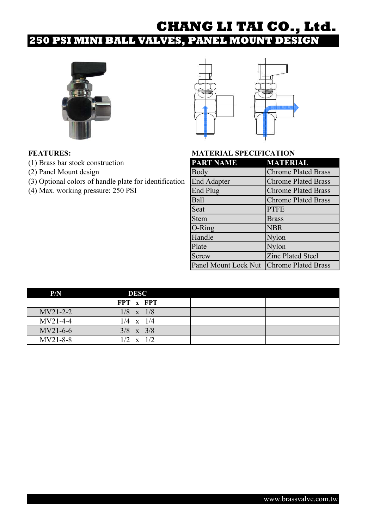## **250 PSI MINI BALL VALVES, PANEL MOUNT DESIGN**





- (1) Brass bar stock construction
- (2) Panel Mount design
- (3) Optional colors of handle plate for identification
- (4) Max. working pressure:  $250$  PSI

| <b>PART NAME</b>                         | <b>MATERIAL</b>            |
|------------------------------------------|----------------------------|
| Body                                     | <b>Chrome Plated Brass</b> |
| <b>End Adapter</b>                       | <b>Chrome Plated Brass</b> |
| End Plug                                 | <b>Chrome Plated Brass</b> |
| Ball                                     | <b>Chrome Plated Brass</b> |
| Seat                                     | <b>PTFE</b>                |
| <b>Stem</b>                              | <b>Brass</b>               |
| O-Ring                                   | <b>NBR</b>                 |
| Handle                                   | Nylon                      |
| Plate                                    | Nylon                      |
| Screw                                    | <b>Zinc Plated Steel</b>   |
| Panel Mount Lock Nut Chrome Plated Brass |                            |

| P/N        | <b>DESC</b>      |  |
|------------|------------------|--|
|            | FPT x FPT        |  |
| $MV21-2-2$ | $1/8$ x $1/8$    |  |
| $MV21-4-4$ | $1/4 \times 1/4$ |  |
| $MV21-6-6$ | $3/8$ x $3/8$    |  |
| MV21-8-8   | $1/2 \times 1/2$ |  |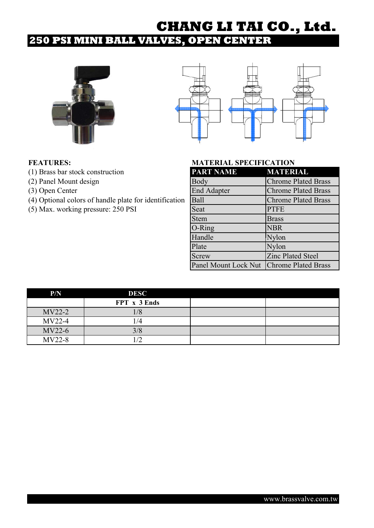## **250 PSI MINI BALL VALVES, OPEN CENTER**





- (1) Brass bar stock construction
- (2) Panel Mount design
- $(3)$  Open Center
- (4) Optional colors of handle plate for identification
- $(5)$  Max. working pressure: 250 PSI

| <b>PART NAME</b>     | <b>MATERIAL</b>            |
|----------------------|----------------------------|
| Body                 | <b>Chrome Plated Brass</b> |
| <b>End Adapter</b>   | <b>Chrome Plated Brass</b> |
| <b>Ball</b>          | <b>Chrome Plated Brass</b> |
| Seat                 | <b>PTFE</b>                |
| <b>Stem</b>          | <b>Brass</b>               |
| O-Ring               | <b>NBR</b>                 |
| Handle               | Nylon                      |
| Plate                | Nylon                      |
| Screw                | <b>Zinc Plated Steel</b>   |
| Panel Mount Lock Nut | <b>Chrome Plated Brass</b> |

| P/N      | <b>DESC</b>  |  |
|----------|--------------|--|
|          | FPT x 3 Ends |  |
| $MV22-2$ | 1/8          |  |
| $MV22-4$ | /4           |  |
| $MV22-6$ | 3/8          |  |
| $MV22-8$ |              |  |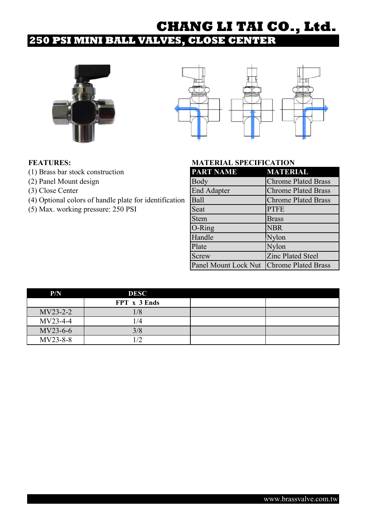## **250 PSI MINI BALL VALVES, CLOSE CENTER**





- (1) Brass bar stock construction
- (2) Panel Mount design
- $(3)$  Close Center
- (4) Optional colors of handle plate for identification
- $(5)$  Max. working pressure: 250 PSI

| <b>PART NAME</b>     | <b>MATERIAL</b>            |
|----------------------|----------------------------|
| Body                 | <b>Chrome Plated Brass</b> |
| <b>End Adapter</b>   | <b>Chrome Plated Brass</b> |
| <b>Ball</b>          | <b>Chrome Plated Brass</b> |
| Seat                 | <b>PTFE</b>                |
| <b>Stem</b>          | <b>Brass</b>               |
| O-Ring               | <b>NBR</b>                 |
| Handle               | Nylon                      |
| Plate                | Nylon                      |
| Screw                | <b>Zinc Plated Steel</b>   |
| Panel Mount Lock Nut | <b>Chrome Plated Brass</b> |

| P/N      | <b>DESC</b>  |  |
|----------|--------------|--|
|          | FPT x 3 Ends |  |
| MV23-2-2 | 1/8          |  |
| MV23-4-4 | 1/4          |  |
| MV23-6-6 | 3/8          |  |
| MV23-8-8 |              |  |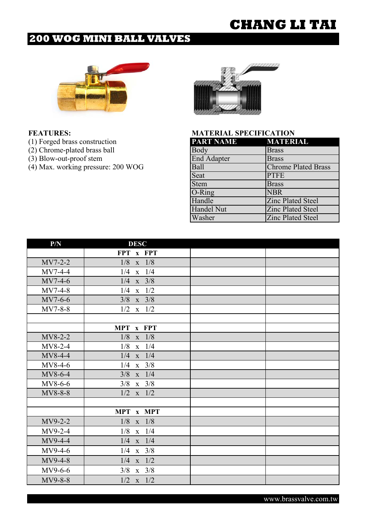## **200 WOG MINI BALL VALVES**



| (1) Forged brass construction      | <b>PART NAME</b>   | <b>MATERIAL</b>            |
|------------------------------------|--------------------|----------------------------|
| (2) Chrome-plated brass ball       | Body               | <b>Brass</b>               |
| (3) Blow-out-proof stem            | <b>End Adapter</b> | <b>Brass</b>               |
| (4) Max. working pressure: 200 WOG | <b>Ball</b>        | <b>Chrome Plated Brass</b> |
|                                    | Seat               | <b>PTFE</b>                |
|                                    | <b>Stem</b>        | <b>Brass</b>               |
|                                    | $O-Ring$           | <b>NBR</b>                 |
|                                    | Handle             | <b>Zinc Plated Steel</b>   |
|                                    | <b>Handel Nut</b>  | <b>Zinc Plated Steel</b>   |
|                                    | Washer             | <b>Zinc Plated Steel</b>   |

| P/N       | <b>DESC</b>             |  |
|-----------|-------------------------|--|
|           | FPT x FPT               |  |
| MV7-2-2   | $1/8$ x $1/8$           |  |
| $MV7-4-4$ | $1/4$ x $1/4$           |  |
| $MV7-4-6$ | $1/4$ x $3/8$           |  |
| $MV7-4-8$ | $\mathbf{x}$ 1/2<br>1/4 |  |
| $MV7-6-6$ | $3/8$ x $3/8$           |  |
| $MV7-8-8$ | $1/2$ x $1/2$           |  |
|           |                         |  |
|           | MPT x FPT               |  |
| MV8-2-2   | 1/8<br>$x$ 1/8          |  |
| MV8-2-4   | 1/8<br>$\mathbf{x}$ 1/4 |  |
| MV8-4-4   | $1/4$ x $1/4$           |  |
| $MV8-4-6$ | $x \quad 3/8$<br>1/4    |  |
| MV8-6-4   | $\mathbf{x}$ 1/4<br>3/8 |  |
| MV8-6-6   | $3/8$ x $3/8$           |  |
| MV8-8-8   | $1/2$ x $1/2$           |  |
|           |                         |  |
|           | MPT x MPT               |  |
| MV9-2-2   | $1/8$ x $1/8$           |  |
| $MV9-2-4$ | $1/8$ x $1/4$           |  |
| MV9-4-4   | $1/4$ x $1/4$           |  |
| $MV9-4-6$ | $1/4$ x $3/8$           |  |
| MV9-4-8   | $1/4$ x $1/2$           |  |
| MV9-6-6   | $3/8$ x $3/8$           |  |
| MV9-8-8   | $1/2$ x $1/2$           |  |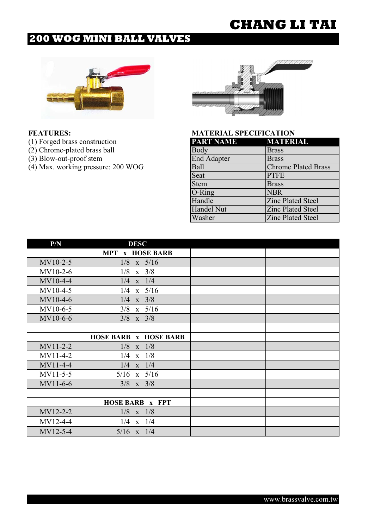## **200 WOG MINI BALL VALVES**



- 
- 
- 
- 

| (1) Forged brass construction      | <b>PART NAME</b>   | <b>MATERIAL</b>            |
|------------------------------------|--------------------|----------------------------|
| (2) Chrome-plated brass ball       | Body               | <b>Brass</b>               |
| (3) Blow-out-proof stem            | <b>End Adapter</b> | <b>Brass</b>               |
| (4) Max. working pressure: 200 WOG | Ball               | <b>Chrome Plated Brass</b> |
|                                    | Seat               | <b>PTFE</b>                |
|                                    | <b>Stem</b>        | <b>Brass</b>               |
|                                    | $O-Ring$           | <b>NBR</b>                 |
|                                    | Handle             | <b>Zinc Plated Steel</b>   |
|                                    | <b>Handel Nut</b>  | <b>Zinc Plated Steel</b>   |
|                                    | Washer             | <b>Zinc Plated Steel</b>   |

| P/N        | <b>DESC</b>                  |  |
|------------|------------------------------|--|
|            | <b>MPT x HOSE BARB</b>       |  |
| $MV10-2-5$ | $1/8$ x $5/16$               |  |
| $MV10-2-6$ | $1/8$ x $3/8$                |  |
| MV10-4-4   | $1/4$ x $1/4$                |  |
| MV10-4-5   | $1/4$ x $5/16$               |  |
| MV10-4-6   | $1/4$ x $3/8$                |  |
| MV10-6-5   | $3/8$ x $5/16$               |  |
| MV10-6-6   | $3/8$ x $3/8$                |  |
|            |                              |  |
|            | <b>HOSE BARB x HOSE BARB</b> |  |
| $MV11-2-2$ | 1/8<br>$\mathbf{x}$ 1/8      |  |
| $MV11-4-2$ | $1/4$ x $1/8$                |  |
| MV11-4-4   | $1/4$ x $1/4$                |  |
| MV11-5-5   | $5/16$ x $5/16$              |  |
| MV11-6-6   | $3/8$ x $3/8$                |  |
|            |                              |  |
|            | <b>HOSE BARB x FPT</b>       |  |
| MV12-2-2   | $1/8$ x $1/8$                |  |
| MV12-4-4   | $1/4$ x $1/4$                |  |
| MV12-5-4   | $5/16$ x $1/4$               |  |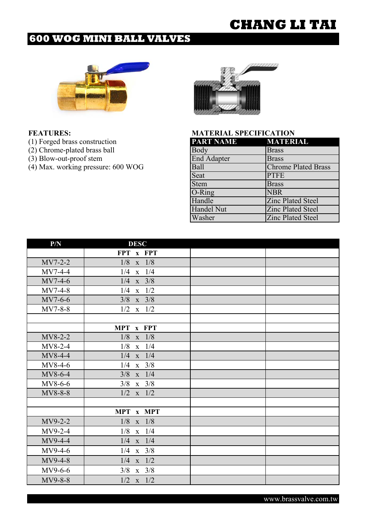## **600 WOG MINI BALL VALVES**



| (1) Forged brass construction      | <b>PART NAME</b>   | <b>MATERIAL</b>            |
|------------------------------------|--------------------|----------------------------|
| (2) Chrome-plated brass ball       | Body               | <b>Brass</b>               |
| (3) Blow-out-proof stem            | <b>End Adapter</b> | <b>Brass</b>               |
| (4) Max. working pressure: 600 WOG | <b>Ball</b>        | <b>Chrome Plated Brass</b> |
|                                    | Seat               | <b>PTFE</b>                |
|                                    | <b>Stem</b>        | <b>Brass</b>               |
|                                    | $O-Ring$           | <b>NBR</b>                 |
|                                    | Handle             | <b>Zinc Plated Steel</b>   |
|                                    | <b>Handel Nut</b>  | <b>Zinc Plated Steel</b>   |
|                                    | Washer             | <b>Zinc Plated Steel</b>   |

| P/N       | <b>DESC</b>             |  |
|-----------|-------------------------|--|
|           | FPT x FPT               |  |
| $MV7-2-2$ | $1/8$ x $1/8$           |  |
| $MV7-4-4$ | $1/4$ x $1/4$           |  |
| $MV7-4-6$ | $1/4$ x $3/8$           |  |
| $MV7-4-8$ | $\mathbf{x}$ 1/2<br>1/4 |  |
| MV7-6-6   | $3/8$ x $3/8$           |  |
| $MV7-8-8$ | $1/2$ x $1/2$           |  |
|           |                         |  |
|           | MPT x FPT               |  |
| MV8-2-2   | 1/8<br>$x \quad 1/8$    |  |
| MV8-2-4   | $\mathbf{x}$ 1/4<br>1/8 |  |
| MV8-4-4   | $1/4$ x $1/4$           |  |
| $MV8-4-6$ | $1/4$ x $3/8$           |  |
| MV8-6-4   | $\mathbf{x}$ 1/4<br>3/8 |  |
| MV8-6-6   | $3/8$ x $3/8$           |  |
| MV8-8-8   | $1/2$ x $1/2$           |  |
|           |                         |  |
|           | MPT x MPT               |  |
| MV9-2-2   | $x$ 1/8<br>1/8          |  |
| MV9-2-4   | $1/8$ x $1/4$           |  |
| $MV9-4-4$ | $1/4$ x $1/4$           |  |
| MV9-4-6   | $x \quad 3/8$<br>1/4    |  |
| MV9-4-8   | $1/4$ x $1/2$           |  |
| MV9-6-6   | $3/8$ x $3/8$           |  |
| MV9-8-8   | $1/2$ x $1/2$           |  |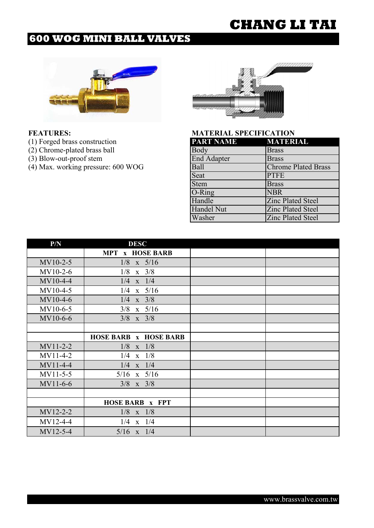## **600 WOG MINI BALL VALVES**



- 
- 
- 
- 



| (1) Forged brass construction      | <b>PART NAME</b>   | <b>MATERIAL</b>            |
|------------------------------------|--------------------|----------------------------|
| (2) Chrome-plated brass ball       | Body               | <b>Brass</b>               |
| (3) Blow-out-proof stem            | <b>End Adapter</b> | <b>Brass</b>               |
| (4) Max. working pressure: 600 WOG | <b>Ball</b>        | <b>Chrome Plated Brass</b> |
|                                    | Seat               | <b>PTFE</b>                |
|                                    | <b>Stem</b>        | <b>Brass</b>               |
|                                    | $O-Ring$           | <b>NBR</b>                 |
|                                    | Handle             | <b>Zinc Plated Steel</b>   |
|                                    | <b>Handel Nut</b>  | <b>Zinc Plated Steel</b>   |
|                                    | Washer             | <b>Zinc Plated Steel</b>   |

| P/N        | <b>DESC</b>                  |  |
|------------|------------------------------|--|
|            | <b>MPT x HOSE BARB</b>       |  |
| $MV10-2-5$ | $1/8$ x $5/16$               |  |
| $MV10-2-6$ | $1/8$ x $3/8$                |  |
| MV10-4-4   | $1/4$ x $1/4$                |  |
| MV10-4-5   | $1/4$ x $5/16$               |  |
| MV10-4-6   | $1/4$ x $3/8$                |  |
| MV10-6-5   | $3/8$ x $5/16$               |  |
| MV10-6-6   | $3/8$ x $3/8$                |  |
|            |                              |  |
|            | <b>HOSE BARB x HOSE BARB</b> |  |
| $MV11-2-2$ | 1/8<br>$\mathbf{x}$ 1/8      |  |
| MV11-4-2   | 1/4<br>$\mathbf{x}$ 1/8      |  |
| MV11-4-4   | $1/4$ x $1/4$                |  |
| MV11-5-5   | $5/16$ x $5/16$              |  |
| MV11-6-6   | $3/8$ x $3/8$                |  |
|            |                              |  |
|            | <b>HOSE BARB x FPT</b>       |  |
| MV12-2-2   | $1/8$ x $1/8$                |  |
| MV12-4-4   | $1/4$ x $1/4$                |  |
| MV12-5-4   | $5/16$ x $1/4$               |  |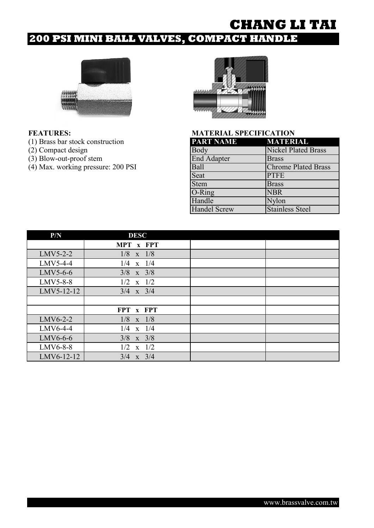# **200 PSI MINI BALL VALVES, COMPACT HANDLE**



- (1) Brass bar stock construction
- $(2)$  Compact design
- $(3)$  Blow-out-proof stem
- $(4)$  Max. working pressure: 200 PSI



| PART NAME          | MATERIAL                   |
|--------------------|----------------------------|
| <b>Body</b>        | <b>Nickel Plated Brass</b> |
| <b>End Adapter</b> | <b>Brass</b>               |
| Ball               | <b>Chrome Plated Brass</b> |
| Seat               | <b>PTFE</b>                |
| Stem               | <b>Brass</b>               |
| $O-Ring$           | <b>NBR</b>                 |
| Handle             | Nylon                      |
| Handel Screw       | <b>Stainless Steel</b>     |

| P/N        | <b>DESC</b>             |  |
|------------|-------------------------|--|
|            | MPT x FPT               |  |
| $LMV5-2-2$ | $1/8$ x $1/8$           |  |
| $LMV5-4-4$ | 1/4<br>$x$ 1/4          |  |
| $LMV5-6-6$ | $3/8$ x $3/8$           |  |
| LMV5-8-8   | $1/2$ x $1/2$           |  |
| LMV5-12-12 | $3/4$ x $3/4$           |  |
|            |                         |  |
|            | FPT x FPT               |  |
| $LMV6-2-2$ | 1/8<br>$\mathbf{x}$ 1/8 |  |
| $LMV6-4-4$ | $1/4$ x $1/4$           |  |
| $LMV6-6-6$ | $3/8$ x $3/8$           |  |
| LMV6-8-8   | 1/2<br>$\mathbf{x}$ 1/2 |  |
| LMV6-12-12 | $3/4$ x $3/4$           |  |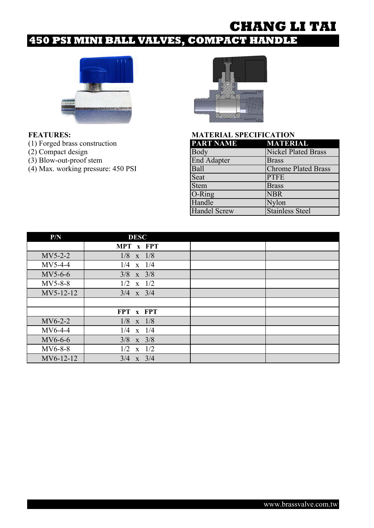# **450 PSI MINI BALL VALVES, COMPACT HANDLE**



- (1) Forged brass construction
- $(2)$  Compact design
- $(3)$  Blow-out-proof stem
- $(4)$  Max. working pressure: 450 PSI



| <b>PART NAME</b>    | <b>MATERIAL</b>            |
|---------------------|----------------------------|
| Body                | <b>Nickel Plated Brass</b> |
| End Adapter         | <b>Brass</b>               |
| Ball                | <b>Chrome Plated Brass</b> |
| Seat                | <b>PTFE</b>                |
| <b>Stem</b>         | <b>Brass</b>               |
| O-Ring              | <b>NBR</b>                 |
| Handle              | Nylon                      |
| <b>Handel Screw</b> | <b>Stainless Steel</b>     |

| P/N       | <b>DESC</b>   |  |
|-----------|---------------|--|
|           | MPT x FPT     |  |
| $MV5-2-2$ | $1/8$ x $1/8$ |  |
| $MV5-4-4$ | $1/4$ x $1/4$ |  |
| $MV5-6-6$ | $3/8$ x $3/8$ |  |
| $MV5-8-8$ | $1/2$ x $1/2$ |  |
| MV5-12-12 | $3/4$ x $3/4$ |  |
|           |               |  |
|           | FPT x FPT     |  |
| $MV6-2-2$ | $1/8$ x $1/8$ |  |
| $MV6-4-4$ | $1/4$ x $1/4$ |  |
| MV6-6-6   | $3/8$ x $3/8$ |  |
| MV6-8-8   | $1/2$ x $1/2$ |  |
| MV6-12-12 | $3/4$ x $3/4$ |  |